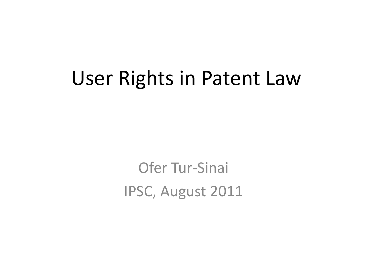## User Rights in Patent Law

Ofer Tur-Sinai IPSC, August 2011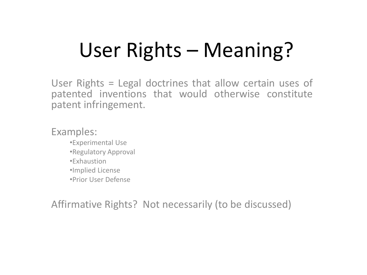# User Rights – Meaning?

User Rights = Legal doctrines that allow certain uses of patented inventions that would otherwise constitute patent infringement.

Examples:

- •Experimental Use
- •Regulatory Approval
- •Exhaustion
- •Implied License
- •Prior User Defense

Affirmative Rights? Not necessarily (to be discussed)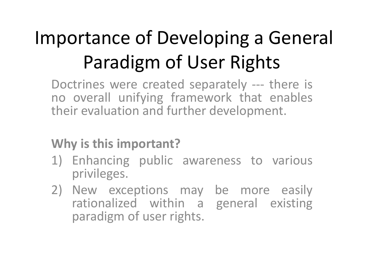# Importance of Developing a General Paradigm of User Rights

Doctrines were created separately --- there is no overall unifying framework that enables their evaluation and further development.

#### **Why is this important?**

- 1) Enhancing public awareness to various privileges.
- 2) New exceptions may be more easily rationalized within a general existing paradigm of user rights.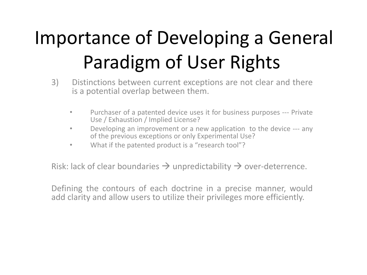# Importance of Developing a General Paradigm of User Rights

- 3) Distinctions between current exceptions are not clear and there is a potential overlap between them.
	- Purchaser of a patented device uses it for business purposes --- Private Use / Exhaustion / Implied License?
	- Developing an improvement or a new application to the device --- any of the previous exceptions or only Experimental Use?
	- What if the patented product is a "research tool"?

Risk: lack of clear boundaries  $\rightarrow$  unpredictability  $\rightarrow$  over-deterrence.

Defining the contours of each doctrine in a precise manner, would add clarity and allow users to utilize their privileges more efficiently.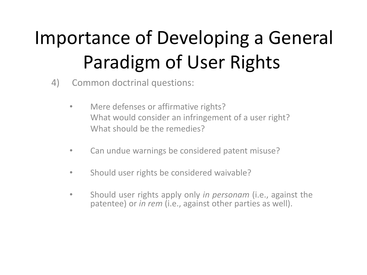# Importance of Developing a General Paradigm of User Rights

4) Common doctrinal questions:

- Mere defenses or affirmative rights? What would consider an infringement of a user right? What should be the remedies?
- Can undue warnings be considered patent misuse?
- Should user rights be considered waivable?
- Should user rights apply only *in personam* (i.e., against the patentee) or *in rem* (i.e., against other parties as well).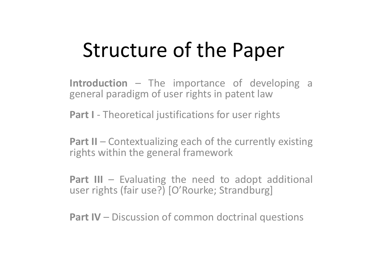# Structure of the Paper

**Introduction** – The importance of developing a general paradigm of user rights in patent law

**Part I** - Theoretical justifications for user rights

**Part II** – Contextualizing each of the currently existing rights within the general framework

**Part III** – Evaluating the need to adopt additional user rights (fair use?) [O'Rourke; Strandburg]

**Part IV** – Discussion of common doctrinal questions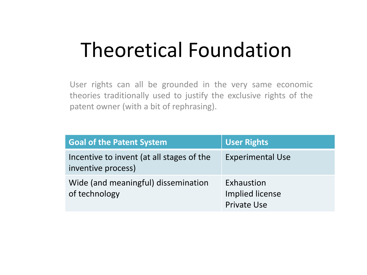## Theoretical Foundation

User rights can all be grounded in the very same economic theories traditionally used to justify the exclusive rights of the patent owner (with a bit of rephrasing).

| <b>Goal of the Patent System</b>                                | <b>User Rights</b>                                  |
|-----------------------------------------------------------------|-----------------------------------------------------|
| Incentive to invent (at all stages of the<br>inventive process) | <b>Experimental Use</b>                             |
| Wide (and meaningful) dissemination<br>of technology            | Exhaustion<br>Implied license<br><b>Private Use</b> |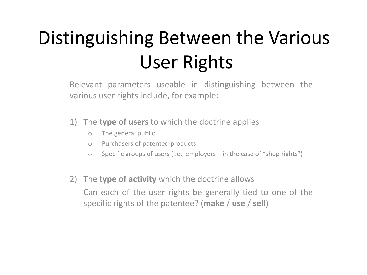# Distinguishing Between the Various User Rights

Relevant parameters useable in distinguishing between the various user rights include, for example:

1) The **type of users** to which the doctrine applies

- o The general public
- o Purchasers of patented products
- $\circ$  Specific groups of users (i.e., employers in the case of "shop rights")
- 2) The **type of activity** which the doctrine allows Can each of the user rights be generally tied to one of the specific rights of the patentee? (**make** / **use** / **sell**)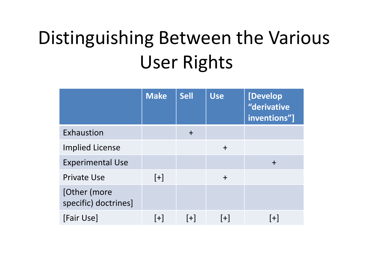# Distinguishing Between the Various User Rights

|                                      | <b>Make</b> | <b>Sell</b> | <b>Use</b> | [Develop]<br>"derivative<br>inventions"] |
|--------------------------------------|-------------|-------------|------------|------------------------------------------|
| Exhaustion                           |             | $\ddag$     |            |                                          |
| <b>Implied License</b>               |             |             | $+$        |                                          |
| <b>Experimental Use</b>              |             |             |            | $\div$                                   |
| <b>Private Use</b>                   | $[+]$       |             | $+$        |                                          |
| [Other (more<br>specific) doctrines] |             |             |            |                                          |
| [Fair Use]                           | $[+]$       | $[+]$       | $ + $      | $+$                                      |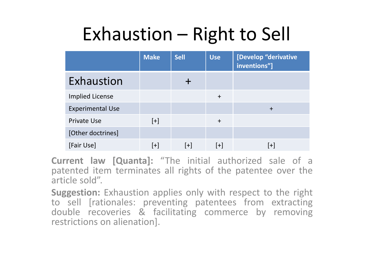## Exhaustion – Right to Sell

|                         | <b>Make</b> | <b>Sell</b> | <b>Use</b> | [Develop "derivative<br>inventions"] |
|-------------------------|-------------|-------------|------------|--------------------------------------|
| Exhaustion              |             |             |            |                                      |
| <b>Implied License</b>  |             |             | $+$        |                                      |
| <b>Experimental Use</b> |             |             |            | $\div$                               |
| <b>Private Use</b>      | $[+]$       |             | $+$        |                                      |
| [Other doctrines]       |             |             |            |                                      |
| [Fair Use]              | $[+]$       | $[+]$       | $[+]$      | $[+]$                                |

**Current law [Quanta]:** "The initial authorized sale of a patented item terminates all rights of the patentee over the article sold".

**Suggestion:** Exhaustion applies only with respect to the right to sell [rationales: preventing patentees from extracting double recoveries & facilitating commerce by removing restrictions on alienation].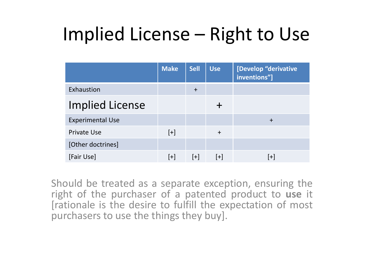#### Implied License – Right to Use

|                         | <b>Make</b> | <b>Sell</b> | <b>Use</b> | [Develop "derivative<br>inventions"] |
|-------------------------|-------------|-------------|------------|--------------------------------------|
| Exhaustion              |             | $+$         |            |                                      |
| <b>Implied License</b>  |             |             |            |                                      |
| <b>Experimental Use</b> |             |             |            | $\div$                               |
| <b>Private Use</b>      | $[+]$       |             | $+$        |                                      |
| [Other doctrines]       |             |             |            |                                      |
| [Fair Use]              | $[+]$       | $[+]$       | $[+]$      | $ + $                                |

Should be treated as a separate exception, ensuring the right of the purchaser of a patented product to **use** it [rationale is the desire to fulfill the expectation of most purchasers to use the things they buy].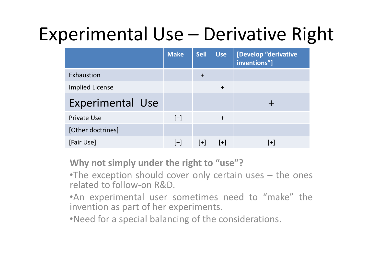## Experimental Use – Derivative Right

|                         | <b>Make</b> | <b>Sell</b> | <b>Use</b> | [Develop "derivative<br>inventions"] |
|-------------------------|-------------|-------------|------------|--------------------------------------|
| Exhaustion              |             | $\ddot{}$   |            |                                      |
| <b>Implied License</b>  |             |             | $\ddot{}$  |                                      |
| <b>Experimental Use</b> |             |             |            |                                      |
| Private Use             | $[+]$       |             | $\ddot{}$  |                                      |
| [Other doctrines]       |             |             |            |                                      |
| [Fair Use]              | $[+]$       | $ + $       | $[+]$      | $ + $                                |

**Why not simply under the right to "use"?**

•The exception should cover only certain uses – the ones related to follow-on R&D.

•An experimental user sometimes need to "make" the invention as part of her experiments.

•Need for a special balancing of the considerations.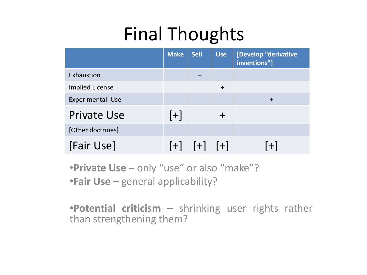## Final Thoughts

|                         | <b>Make</b> | <b>Sell</b>       | <b>Use</b> | [Develop "derivative<br>inventions"] |
|-------------------------|-------------|-------------------|------------|--------------------------------------|
| Exhaustion              |             | $\ddot{}$         |            |                                      |
| <b>Implied License</b>  |             |                   | $\ddot{}$  |                                      |
| <b>Experimental Use</b> |             |                   |            | $+$                                  |
| <b>Private Use</b>      | $[+]$       |                   |            |                                      |
| [Other doctrines]       |             |                   |            |                                      |
| [Fair Use]              |             | $[+]$ $[+]$ $[+]$ |            | $[+]$                                |

•**Private Use** – only "use" or also "make"? •**Fair Use** – general applicability?

•**Potential criticism** – shrinking user rights rather than strengthening them?